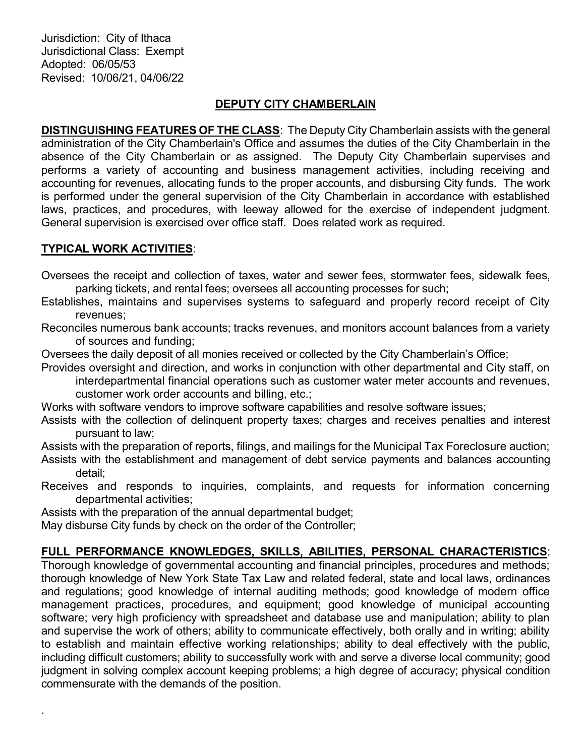Jurisdiction: City of Ithaca Jurisdictional Class: Exempt Adopted: 06/05/53 Revised: 10/06/21, 04/06/22

# DEPUTY CITY CHAMBERLAIN

DISTINGUISHING FEATURES OF THE CLASS: The Deputy City Chamberlain assists with the general administration of the City Chamberlain's Office and assumes the duties of the City Chamberlain in the absence of the City Chamberlain or as assigned. The Deputy City Chamberlain supervises and performs a variety of accounting and business management activities, including receiving and accounting for revenues, allocating funds to the proper accounts, and disbursing City funds. The work is performed under the general supervision of the City Chamberlain in accordance with established laws, practices, and procedures, with leeway allowed for the exercise of independent judgment. General supervision is exercised over office staff. Does related work as required.

### TYPICAL WORK ACTIVITIES:

.

Oversees the receipt and collection of taxes, water and sewer fees, stormwater fees, sidewalk fees, parking tickets, and rental fees; oversees all accounting processes for such;

Establishes, maintains and supervises systems to safeguard and properly record receipt of City revenues;

Reconciles numerous bank accounts; tracks revenues, and monitors account balances from a variety of sources and funding;

Oversees the daily deposit of all monies received or collected by the City Chamberlain's Office;

Provides oversight and direction, and works in conjunction with other departmental and City staff, on interdepartmental financial operations such as customer water meter accounts and revenues, customer work order accounts and billing, etc.;

Works with software vendors to improve software capabilities and resolve software issues;

Assists with the collection of delinquent property taxes; charges and receives penalties and interest pursuant to law;

Assists with the preparation of reports, filings, and mailings for the Municipal Tax Foreclosure auction; Assists with the establishment and management of debt service payments and balances accounting detail;

Receives and responds to inquiries, complaints, and requests for information concerning departmental activities;

Assists with the preparation of the annual departmental budget;

May disburse City funds by check on the order of the Controller;

# FULL PERFORMANCE KNOWLEDGES, SKILLS, ABILITIES, PERSONAL CHARACTERISTICS:

Thorough knowledge of governmental accounting and financial principles, procedures and methods; thorough knowledge of New York State Tax Law and related federal, state and local laws, ordinances and regulations; good knowledge of internal auditing methods; good knowledge of modern office management practices, procedures, and equipment; good knowledge of municipal accounting software; very high proficiency with spreadsheet and database use and manipulation; ability to plan and supervise the work of others; ability to communicate effectively, both orally and in writing; ability to establish and maintain effective working relationships; ability to deal effectively with the public, including difficult customers; ability to successfully work with and serve a diverse local community; good judgment in solving complex account keeping problems; a high degree of accuracy; physical condition commensurate with the demands of the position.